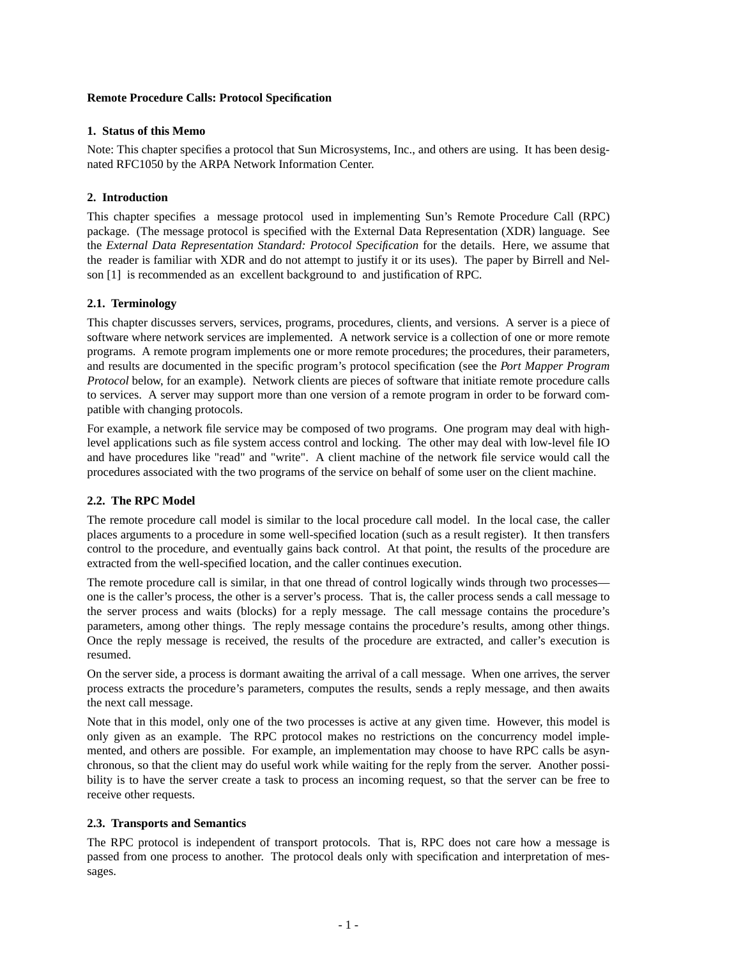## **Remote Procedure Calls: Protocol Specification**

# **1. Status of this Memo**

Note: This chapter specifies a protocol that Sun Microsystems, Inc., and others are using. It has been designated RFC1050 by the ARPA Network Information Center.

# **2. Introduction**

This chapter specifies a message protocol used in implementing Sun's Remote Procedure Call (RPC) package. (The message protocol is specified with the External Data Representation (XDR) language. See the *External Data Representation Standard: Protocol Specification* for the details. Here, we assume that the reader is familiar with XDR and do not attempt to justify it or its uses). The paper by Birrell and Nelson [1] is recommended as an excellent background to and justification of RPC.

# **2.1. Terminology**

This chapter discusses servers, services, programs, procedures, clients, and versions. A server is a piece of software where network services are implemented. A network service is a collection of one or more remote programs. A remote program implements one or more remote procedures; the procedures, their parameters, and results are documented in the specific program's protocol specification (see the *Port Mapper Program Protocol* below, for an example). Network clients are pieces of software that initiate remote procedure calls to services. A server may support more than one version of a remote program in order to be forward compatible with changing protocols.

For example, a network file service may be composed of two programs. One program may deal with highlevel applications such as file system access control and locking. The other may deal with low-level file IO and have procedures like "read" and "write". A client machine of the network file service would call the procedures associated with the two programs of the service on behalf of some user on the client machine.

# **2.2. The RPC Model**

The remote procedure call model is similar to the local procedure call model. In the local case, the caller places arguments to a procedure in some well-specified location (such as a result register). It then transfers control to the procedure, and eventually gains back control. At that point, the results of the procedure are extracted from the well-specified location, and the caller continues execution.

The remote procedure call is similar, in that one thread of control logically winds through two processes one is the caller's process, the other is a server's process. That is, the caller process sends a call message to the server process and waits (blocks) for a reply message. The call message contains the procedure's parameters, among other things. The reply message contains the procedure's results, among other things. Once the reply message is received, the results of the procedure are extracted, and caller's execution is resumed.

On the server side, a process is dormant awaiting the arrival of a call message. When one arrives, the server process extracts the procedure's parameters, computes the results, sends a reply message, and then awaits the next call message.

Note that in this model, only one of the two processes is active at any given time. However, this model is only given as an example. The RPC protocol makes no restrictions on the concurrency model implemented, and others are possible. For example, an implementation may choose to have RPC calls be asynchronous, so that the client may do useful work while waiting for the reply from the server. Another possibility is to have the server create a task to process an incoming request, so that the server can be free to receive other requests.

## **2.3. Transports and Semantics**

The RPC protocol is independent of transport protocols. That is, RPC does not care how a message is passed from one process to another. The protocol deals only with specification and interpretation of messages.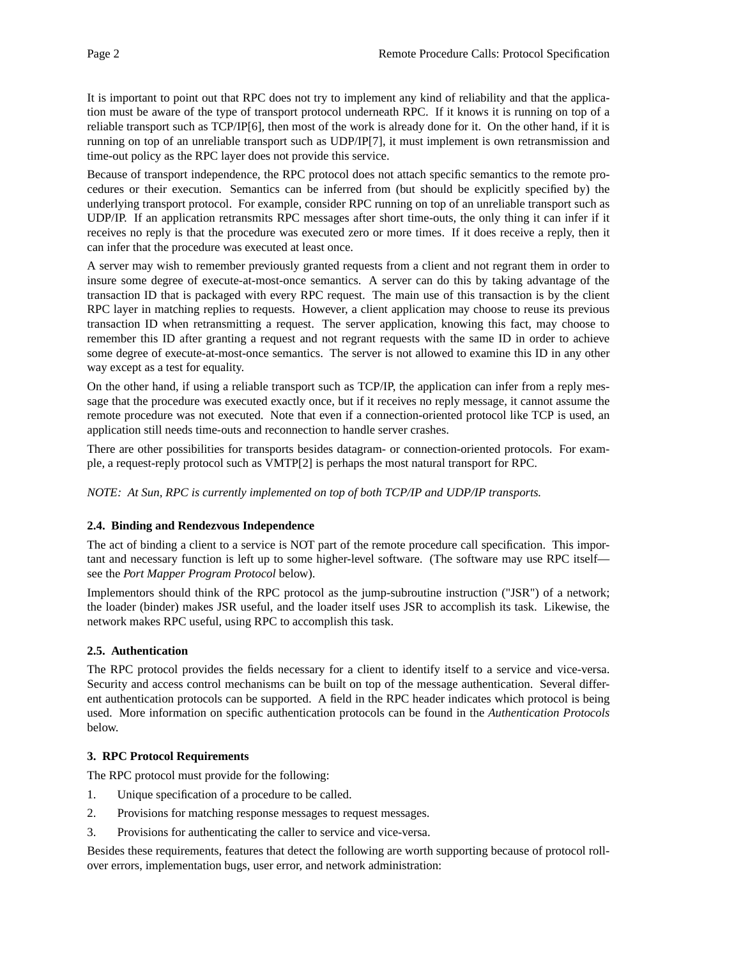It is important to point out that RPC does not try to implement any kind of reliability and that the application must be aware of the type of transport protocol underneath RPC. If it knows it is running on top of a reliable transport such as TCP/IP[6], then most of the work is already done for it. On the other hand, if it is running on top of an unreliable transport such as UDP/IP[7], it must implement is own retransmission and time-out policy as the RPC layer does not provide this service.

Because of transport independence, the RPC protocol does not attach specific semantics to the remote procedures or their execution. Semantics can be inferred from (but should be explicitly specified by) the underlying transport protocol. For example, consider RPC running on top of an unreliable transport such as UDP/IP. If an application retransmits RPC messages after short time-outs, the only thing it can infer if it receives no reply is that the procedure was executed zero or more times. If it does receive a reply, then it can infer that the procedure was executed at least once.

A server may wish to remember previously granted requests from a client and not regrant them in order to insure some degree of execute-at-most-once semantics. A server can do this by taking advantage of the transaction ID that is packaged with every RPC request. The main use of this transaction is by the client RPC layer in matching replies to requests. However, a client application may choose to reuse its previous transaction ID when retransmitting a request. The server application, knowing this fact, may choose to remember this ID after granting a request and not regrant requests with the same ID in order to achieve some degree of execute-at-most-once semantics. The server is not allowed to examine this ID in any other way except as a test for equality.

On the other hand, if using a reliable transport such as TCP/IP, the application can infer from a reply message that the procedure was executed exactly once, but if it receives no reply message, it cannot assume the remote procedure was not executed. Note that even if a connection-oriented protocol like TCP is used, an application still needs time-outs and reconnection to handle server crashes.

There are other possibilities for transports besides datagram- or connection-oriented protocols. For example, a request-reply protocol such as VMTP[2] is perhaps the most natural transport for RPC.

*NOTE: At Sun, RPC is currently implemented on top of both TCP/IP and UDP/IP transports.*

# **2.4. Binding and Rendezvous Independence**

The act of binding a client to a service is NOT part of the remote procedure call specification. This important and necessary function is left up to some higher-level software. (The software may use RPC itself see the *Port Mapper Program Protocol* below).

Implementors should think of the RPC protocol as the jump-subroutine instruction ("JSR") of a network; the loader (binder) makes JSR useful, and the loader itself uses JSR to accomplish its task. Likewise, the network makes RPC useful, using RPC to accomplish this task.

# **2.5. Authentication**

The RPC protocol provides the fields necessary for a client to identify itself to a service and vice-versa. Security and access control mechanisms can be built on top of the message authentication. Several different authentication protocols can be supported. A field in the RPC header indicates which protocol is being used. More information on specific authentication protocols can be found in the *Authentication Protocols* below.

# **3. RPC Protocol Requirements**

The RPC protocol must provide for the following:

- 1. Unique specification of a procedure to be called.
- 2. Provisions for matching response messages to request messages.
- 3. Provisions for authenticating the caller to service and vice-versa.

Besides these requirements, features that detect the following are worth supporting because of protocol rollover errors, implementation bugs, user error, and network administration: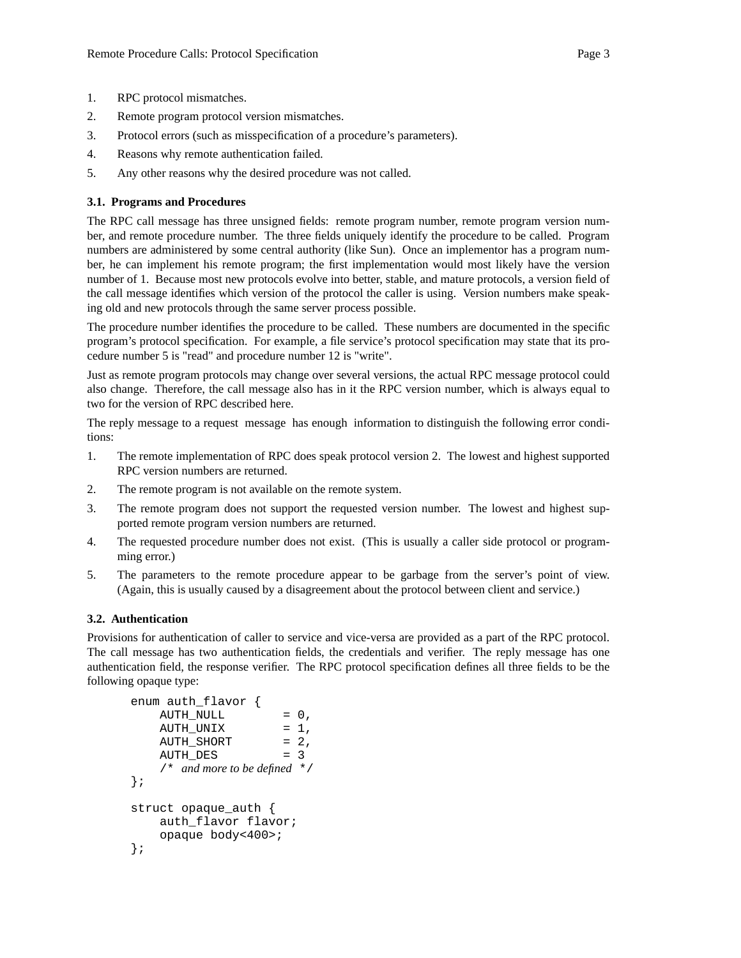- 1. RPC protocol mismatches.
- 2. Remote program protocol version mismatches.
- 3. Protocol errors (such as misspecification of a procedure's parameters).
- 4. Reasons why remote authentication failed.
- 5. Any other reasons why the desired procedure was not called.

# **3.1. Programs and Procedures**

The RPC call message has three unsigned fields: remote program number, remote program version number, and remote procedure number. The three fields uniquely identify the procedure to be called. Program numbers are administered by some central authority (like Sun). Once an implementor has a program number, he can implement his remote program; the first implementation would most likely have the version number of 1. Because most new protocols evolve into better, stable, and mature protocols, a version field of the call message identifies which version of the protocol the caller is using. Version numbers make speaking old and new protocols through the same server process possible.

The procedure number identifies the procedure to be called. These numbers are documented in the specific program's protocol specification. For example, a file service's protocol specification may state that its procedure number 5 is "read" and procedure number 12 is "write".

Just as remote program protocols may change over several versions, the actual RPC message protocol could also change. Therefore, the call message also has in it the RPC version number, which is always equal to two for the version of RPC described here.

The reply message to a request message has enough information to distinguish the following error conditions:

- 1. The remote implementation of RPC does speak protocol version 2. The lowest and highest supported RPC version numbers are returned.
- 2. The remote program is not available on the remote system.
- 3. The remote program does not support the requested version number. The lowest and highest supported remote program version numbers are returned.
- 4. The requested procedure number does not exist. (This is usually a caller side protocol or programming error.)
- 5. The parameters to the remote procedure appear to be garbage from the server's point of view. (Again, this is usually caused by a disagreement about the protocol between client and service.)

# **3.2. Authentication**

Provisions for authentication of caller to service and vice-versa are provided as a part of the RPC protocol. The call message has two authentication fields, the credentials and verifier. The reply message has one authentication field, the response verifier. The RPC protocol specification defines all three fields to be the following opaque type:

```
enum auth_flavor {
   AUTH NULL = 0,AUTH UNIX = 1,
   AUTH\_SHORT = 2,
   AUTH DES = 3
   /* and more to be defined */
};
struct opaque auth {
   auth_flavor flavor;
   opaque body<400>;
};
```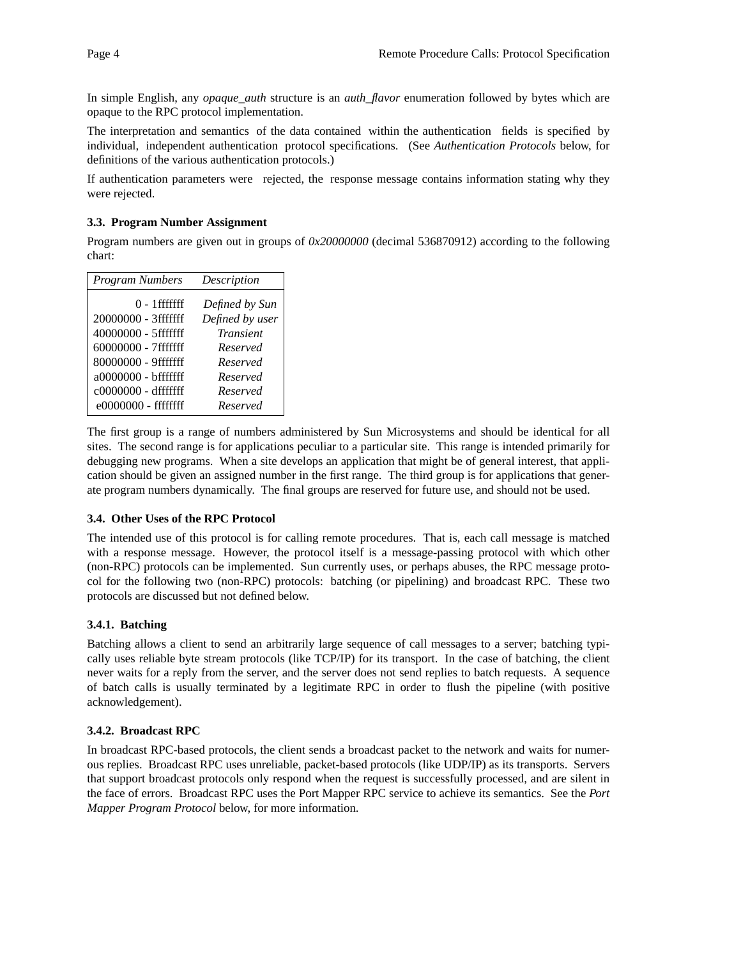In simple English, any *opaque\_auth* structure is an *auth\_flavor* enumeration followed by bytes which are opaque to the RPC protocol implementation.

The interpretation and semantics of the data contained within the authentication fields is specified by individual, independent authentication protocol specifications. (See *Authentication Protocols* below, for definitions of the various authentication protocols.)

If authentication parameters were rejected, the response message contains information stating why they were rejected.

#### **3.3. Program Number Assignment**

Program numbers are given out in groups of *0x20000000* (decimal 536870912) according to the following chart:

| <b>Program Numbers</b> | Description      |
|------------------------|------------------|
| $0 - 1$ fffffff        | Defined by Sun   |
| 20000000 - 3fffffff    | Defined by user  |
| 40000000 - 5fffffff    | <b>Transient</b> |
| 60000000 - 7fffffff    | Reserved         |
| 80000000 - 9fffffff    | Reserved         |
| a0000000 - bfffffff    | Reserved         |
| c0000000 - dfffffff    | Reserved         |
| e0000000 - ffffffff    | Reserved         |

The first group is a range of numbers administered by Sun Microsystems and should be identical for all sites. The second range is for applications peculiar to a particular site. This range is intended primarily for debugging new programs. When a site develops an application that might be of general interest, that application should be given an assigned number in the first range. The third group is for applications that generate program numbers dynamically. The final groups are reserved for future use, and should not be used.

## **3.4. Other Uses of the RPC Protocol**

The intended use of this protocol is for calling remote procedures. That is, each call message is matched with a response message. However, the protocol itself is a message-passing protocol with which other (non-RPC) protocols can be implemented. Sun currently uses, or perhaps abuses, the RPC message protocol for the following two (non-RPC) protocols: batching (or pipelining) and broadcast RPC. These two protocols are discussed but not defined below.

## **3.4.1. Batching**

Batching allows a client to send an arbitrarily large sequence of call messages to a server; batching typically uses reliable byte stream protocols (like TCP/IP) for its transport. In the case of batching, the client never waits for a reply from the server, and the server does not send replies to batch requests. A sequence of batch calls is usually terminated by a legitimate RPC in order to flush the pipeline (with positive acknowledgement).

#### **3.4.2. Broadcast RPC**

In broadcast RPC-based protocols, the client sends a broadcast packet to the network and waits for numerous replies. Broadcast RPC uses unreliable, packet-based protocols (like UDP/IP) as its transports. Servers that support broadcast protocols only respond when the request is successfully processed, and are silent in the face of errors. Broadcast RPC uses the Port Mapper RPC service to achieve its semantics. See the *Port Mapper Program Protocol* below, for more information.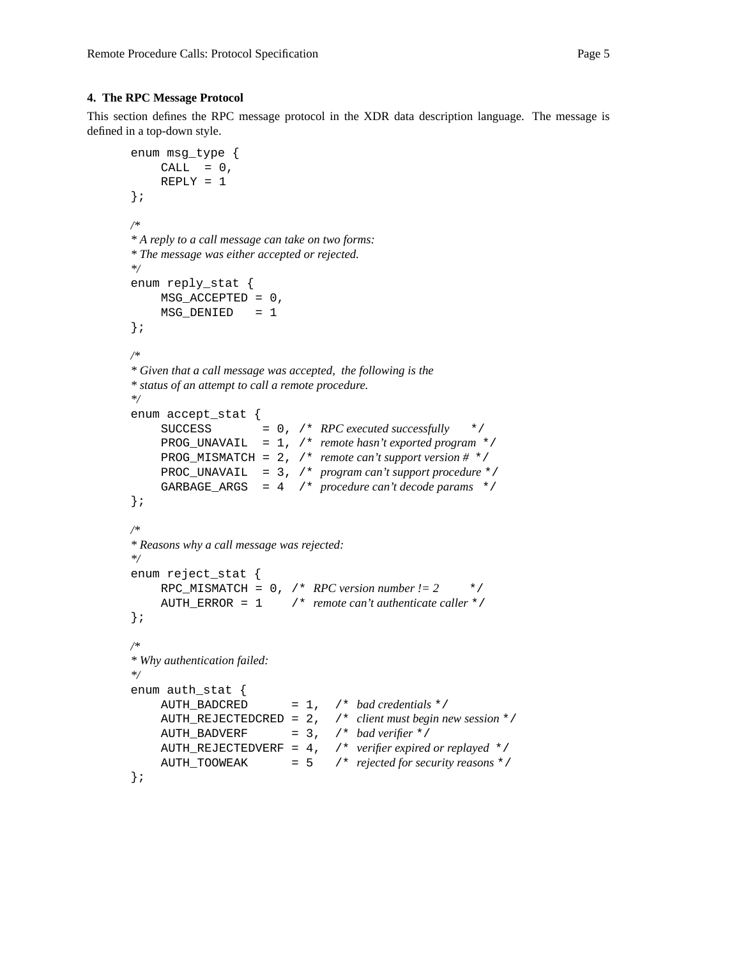# **4. The RPC Message Protocol**

This section defines the RPC message protocol in the XDR data description language. The message is defined in a top-down style.

```
enum msg_type {
    CALL = 0,REPLY = 1
};
/*
* A reply to a call message can take on two forms:
* The message was either accepted or rejected.
*/
enum reply_stat {
    MSG_ACCEPTED = 0,
    MSG DENIED = 1
};
/*
* Given that a call message was accepted, the following is the
* status of an attempt to call a remote procedure.
*/
enum accept_stat {
    SUCCESS = 0, /* RPC executed successfully */
    PROG_UNAVAIL = 1, /* remote hasn't exported program */
    PROG_MISMATCH = 2, /* remote can't support version # */
    PROC_UNAVAIL = 3, /* program can't support procedure */
    GARBAGE_ARGS = 4 /* procedure can't decode params */
};
/*
* Reasons why a call message was rejected:
*/
enum reject_stat {
    RPC_MISMATCH = 0, /* RPC version number != 2 */
    AUTH_ERROR = 1 /* remote can't authenticate caller */
};
/*
* Why authentication failed:
*/
enum auth_stat {
    AUTH_BADCRED = 1, /* bad credentials */
    AUTH_REJECTEDCRED = 2, /* client must begin new session */
    AUTH_BADVERF = 3, /* bad verifier */
    AUTH_REJECTEDVERF = 4, /* verifier expired or replayed */
    AUTH_TOOWEAK = 5 /* rejected for security reasons */
};
```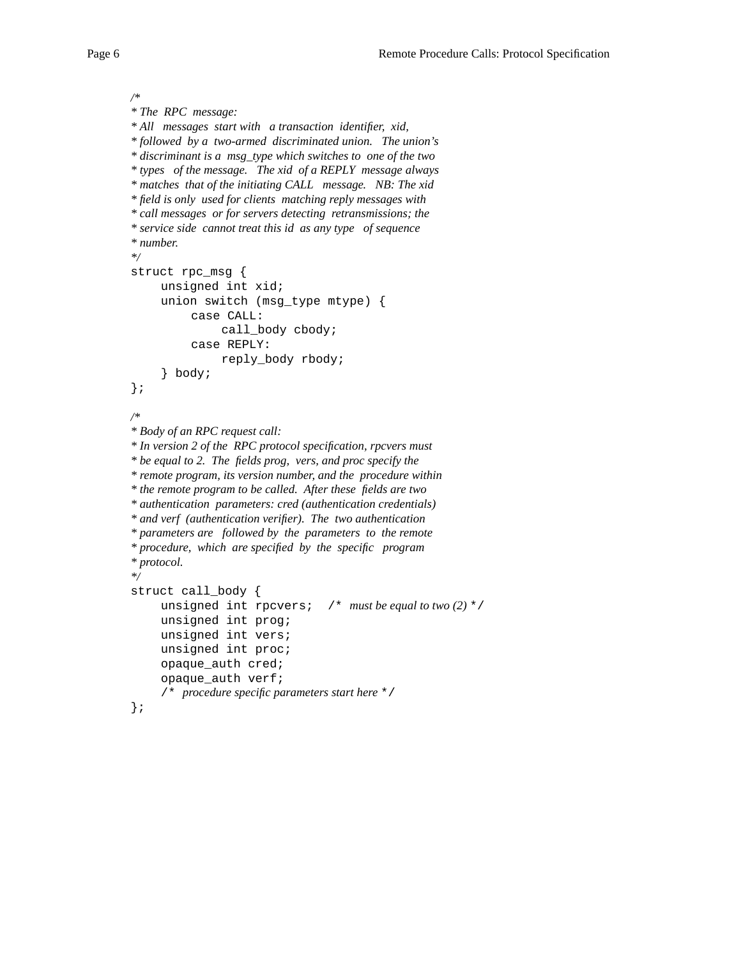```
/*
* The RPC message:
* All messages start with a transaction identifier, xid,
* followed by a two-armed discriminated union. The union's
* discriminant is a msg_type which switches to one of the two
* types of the message. The xid of a REPLY message always
* matches that of the initiating CALL message. NB: The xid
* field is only used for clients matching reply messages with
* call messages or for servers detecting retransmissions; the
* service side cannot treat this id as any type of sequence
* number.
*/
struct rpc_msg {
     unsigned int xid;
     union switch (msg_type mtype) {
           case CALL:
                call_body cbody;
           case REPLY:
                reply_body rbody;
     } body;
};
/*
* Body of an RPC request call:
* In version 2 of the RPC protocol specification, rpcvers must
* be equal to 2. The fields prog, vers, and proc specify the
* remote program, its version number, and the procedure within
* the remote program to be called. After these fields are two
* authentication parameters: cred (authentication credentials)
* and verf (authentication verifier). The two authentication
* parameters are followed by the parameters to the remote
* procedure, which are specified by the specific program
* protocol.
*/
struct call_body {
     unsigned int rpcvers; /* must be equal to two (2) */
     unsigned int prog;
     unsigned int vers;
     unsigned int proc;
     opaque_auth cred;
     opaque_auth verf;
     /* procedure specific parameters start here */
};
```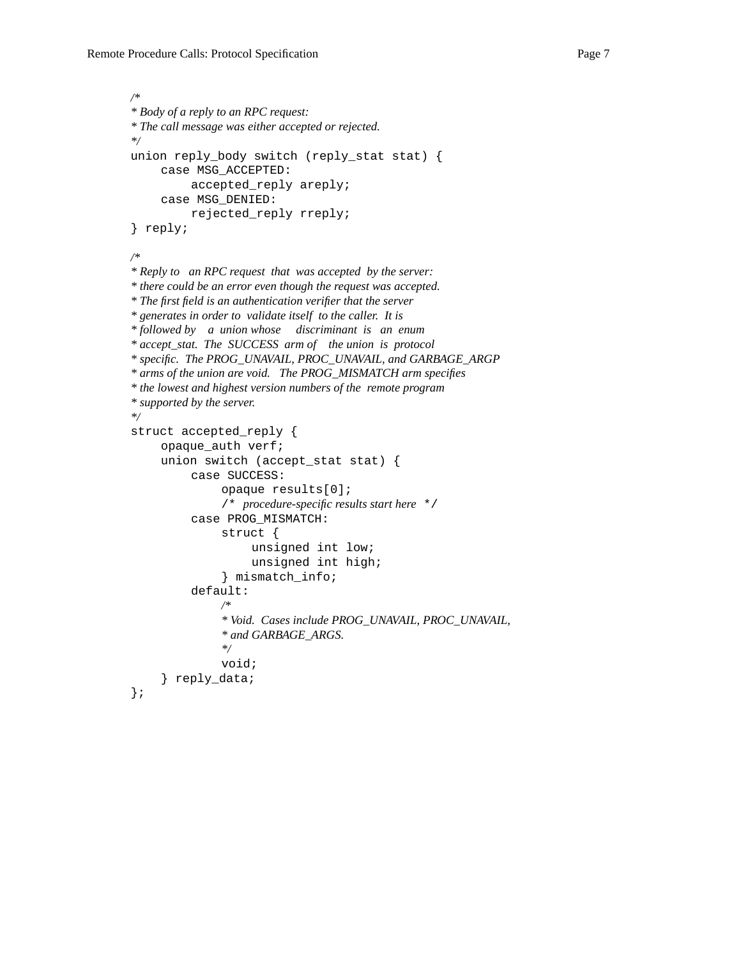```
/*
* Body of a reply to an RPC request:
* The call message was either accepted or rejected.
*/
union reply_body switch (reply_stat stat) {
     case MSG_ACCEPTED:
          accepted_reply areply;
     case MSG_DENIED:
          rejected_reply rreply;
} reply;
/*
* Reply to an RPC request that was accepted by the server:
* there could be an error even though the request was accepted.
* The first field is an authentication verifier that the server
* generates in order to validate itself to the caller. It is
* followed by a union whose discriminant is an enum
* accept_stat. The SUCCESS arm of the union is protocol
* specific. The PROG_UNAVAIL, PROC_UNAVAIL, and GARBAGE_ARGP
* arms of the union are void. The PROG_MISMATCH arm specifies
* the lowest and highest version numbers of the remote program
* supported by the server.
*/
struct accepted_reply {
     opaque_auth verf;
     union switch (accept_stat stat) {
          case SUCCESS:
               opaque results[0];
                /* procedure-specific results start here */
          case PROG_MISMATCH:
               struct {
                     unsigned int low;
                     unsigned int high;
                } mismatch_info;
          default:
               /*
                * Void. Cases include PROG_UNAV AIL, PROC_UNAV AIL,
                * and GARBAGE_ARGS.
                */
               void;
     } reply_data;
};
```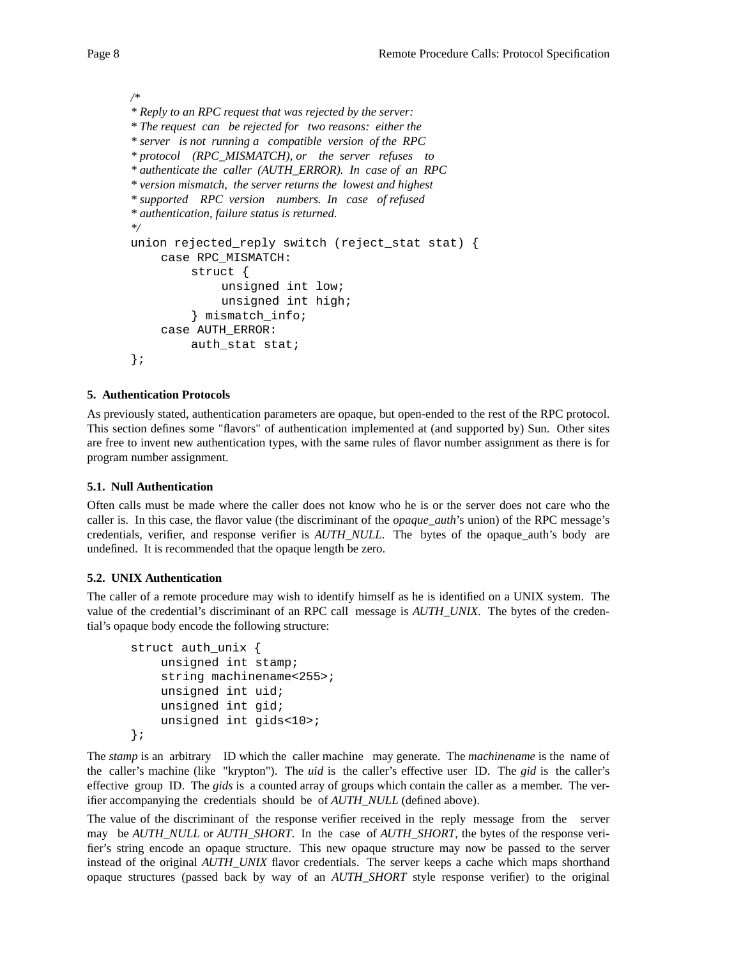```
/*
* Reply to an RPC request that was rejected by the server:
* The request can be rejected for two reasons: either the
* server is not running a compatible version of the RPC
* protocol (RPC_MISMATCH), or the server refuses to
* authenticate the caller (AUTH_ERROR). In case of an RPC
* version mismatch, the server returns the lowest and highest
* supported RPC version numbers. In case of refused
* authentication, failure status is returned.
*/
union rejected_reply switch (reject_stat stat) {
     case RPC_MISMATCH:
          struct {
               unsigned int low;
               unsigned int high;
          } mismatch_info;
     case AUTH_ERROR:
          auth stat stat;
};
```
# **5. Authentication Protocols**

As previously stated, authentication parameters are opaque, but open-ended to the rest of the RPC protocol. This section defines some "flavors" of authentication implemented at (and supported by) Sun. Other sites are free to invent new authentication types, with the same rules of flavor number assignment as there is for program number assignment.

## **5.1. Null Authentication**

Often calls must be made where the caller does not know who he is or the server does not care who the caller is. In this case, the flavor value (the discriminant of the *opaque\_auth*'s union) of the RPC message's credentials, verifier, and response verifier is *AUTH\_NULL*. The bytes of the opaque\_auth's body are undefined. It is recommended that the opaque length be zero.

## **5.2. UNIX Authentication**

The caller of a remote procedure may wish to identify himself as he is identified on a UNIX system. The value of the credential's discriminant of an RPC call message is *AUTH\_UNIX*. The bytes of the credential's opaque body encode the following structure:

```
struct auth unix {
    unsigned int stamp;
    string machinename<255>;
    unsigned int uid;
    unsigned int gid;
    unsigned int gids<10>;
};
```
The *stamp* is an arbitrary ID which the caller machine may generate. The *machinename* is the name of the caller's machine (like "krypton"). The *uid* is the caller's effective user ID. The *gid* is the caller's effective group ID. The *gids* is a counted array of groups which contain the caller as a member. The verifier accompanying the credentials should be of *AUTH\_NULL* (defined above).

The value of the discriminant of the response verifier received in the reply message from the server may be *AUTH\_NULL* or *AUTH\_SHORT*. In the case of *AUTH\_SHORT*, the bytes of the response verifier's string encode an opaque structure. This new opaque structure may now be passed to the server instead of the original *AUTH\_UNIX* flavor credentials. The server keeps a cache which maps shorthand opaque structures (passed back by way of an *AUTH\_SHORT* style response verifier) to the original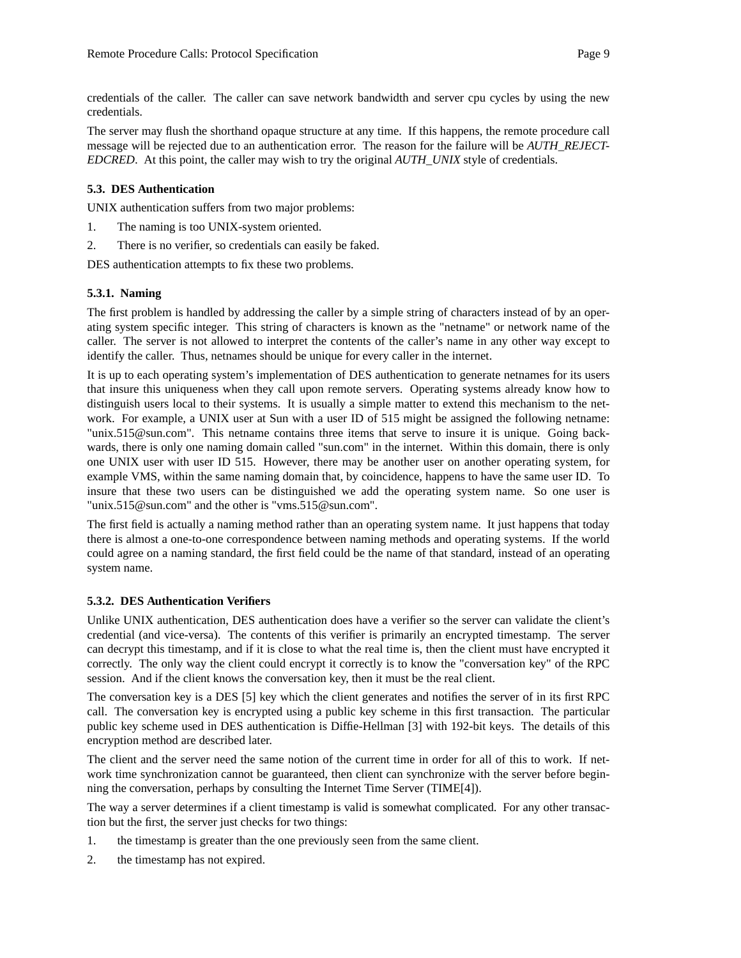credentials of the caller. The caller can save network bandwidth and server cpu cycles by using the new credentials.

The server may flush the shorthand opaque structure at any time. If this happens, the remote procedure call message will be rejected due to an authentication error. The reason for the failure will be *AUTH\_REJECT-EDCRED*. At this point, the caller may wish to try the original *AUTH\_UNIX* style of credentials.

# **5.3. DES Authentication**

UNIX authentication suffers from two major problems:

- 1. The naming is too UNIX-system oriented.
- 2. There is no verifier, so credentials can easily be faked.

DES authentication attempts to fix these two problems.

## **5.3.1. Naming**

The first problem is handled by addressing the caller by a simple string of characters instead of by an operating system specific integer. This string of characters is known as the "netname" or network name of the caller. The server is not allowed to interpret the contents of the caller's name in any other way except to identify the caller. Thus, netnames should be unique for every caller in the internet.

It is up to each operating system's implementation of DES authentication to generate netnames for its users that insure this uniqueness when they call upon remote servers. Operating systems already know how to distinguish users local to their systems. It is usually a simple matter to extend this mechanism to the network. For example, a UNIX user at Sun with a user ID of 515 might be assigned the following netname: "unix.515@sun.com". This netname contains three items that serve to insure it is unique. Going backwards, there is only one naming domain called "sun.com" in the internet. Within this domain, there is only one UNIX user with user ID 515. However, there may be another user on another operating system, for example VMS, within the same naming domain that, by coincidence, happens to have the same user ID. To insure that these two users can be distinguished we add the operating system name. So one user is "unix.515@sun.com" and the other is "vms.515@sun.com".

The first field is actually a naming method rather than an operating system name. It just happens that today there is almost a one-to-one correspondence between naming methods and operating systems. If the world could agree on a naming standard, the first field could be the name of that standard, instead of an operating system name.

## **5.3.2. DES Authentication Verifiers**

Unlike UNIX authentication, DES authentication does have a verifier so the server can validate the client's credential (and vice-versa). The contents of this verifier is primarily an encrypted timestamp. The server can decrypt this timestamp, and if it is close to what the real time is, then the client must have encrypted it correctly. The only way the client could encrypt it correctly is to know the "conversation key" of the RPC session. And if the client knows the conversation key, then it must be the real client.

The conversation key is a DES [5] key which the client generates and notifies the server of in its first RPC call. The conversation key is encrypted using a public key scheme in this first transaction. The particular public key scheme used in DES authentication is Diffie-Hellman [3] with 192-bit keys. The details of this encryption method are described later.

The client and the server need the same notion of the current time in order for all of this to work. If network time synchronization cannot be guaranteed, then client can synchronize with the server before beginning the conversation, perhaps by consulting the Internet Time Server (TIME[4]).

The way a server determines if a client timestamp is valid is somewhat complicated. For any other transaction but the first, the server just checks for two things:

- 1. the timestamp is greater than the one previously seen from the same client.
- 2. the timestamp has not expired.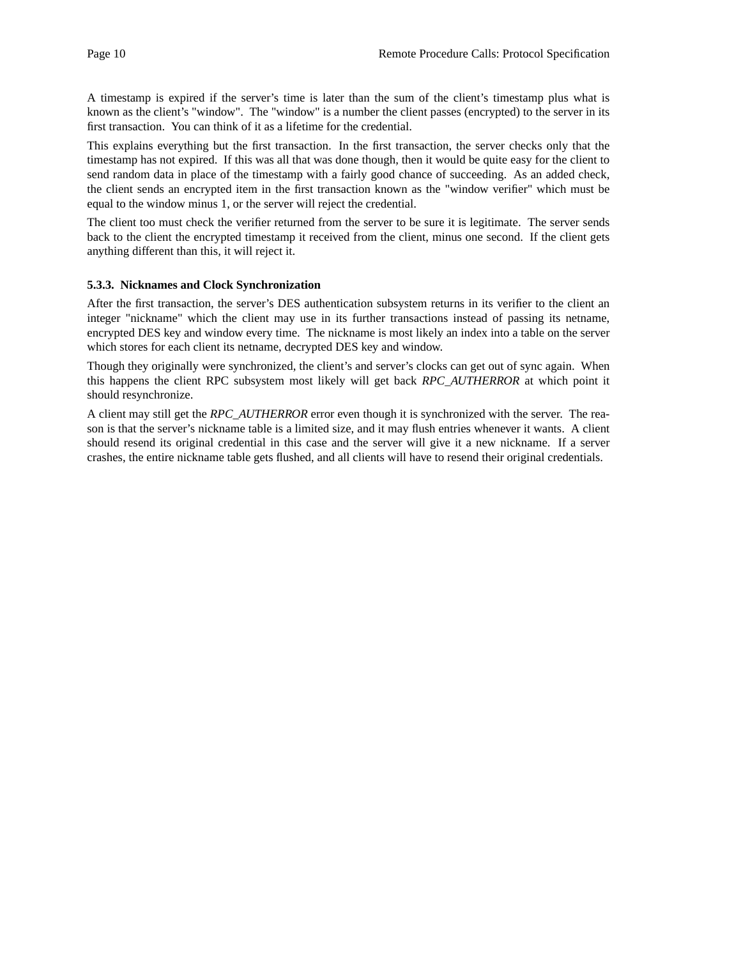A timestamp is expired if the server's time is later than the sum of the client's timestamp plus what is known as the client's "window". The "window" is a number the client passes (encrypted) to the server in its first transaction. You can think of it as a lifetime for the credential.

This explains everything but the first transaction. In the first transaction, the server checks only that the timestamp has not expired. If this was all that was done though, then it would be quite easy for the client to send random data in place of the timestamp with a fairly good chance of succeeding. As an added check, the client sends an encrypted item in the first transaction known as the "window verifier" which must be equal to the window minus 1, or the server will reject the credential.

The client too must check the verifier returned from the server to be sure it is legitimate. The server sends back to the client the encrypted timestamp it received from the client, minus one second. If the client gets anything different than this, it will reject it.

## **5.3.3. Nicknames and Clock Synchronization**

After the first transaction, the server's DES authentication subsystem returns in its verifier to the client an integer "nickname" which the client may use in its further transactions instead of passing its netname, encrypted DES key and window every time. The nickname is most likely an index into a table on the server which stores for each client its netname, decrypted DES key and window.

Though they originally were synchronized, the client's and server's clocks can get out of sync again. When this happens the client RPC subsystem most likely will get back *RPC\_AUTHERROR* at which point it should resynchronize.

A client may still get the *RPC\_AUTHERROR* error even though it is synchronized with the server. The reason is that the server's nickname table is a limited size, and it may flush entries whenever it wants. A client should resend its original credential in this case and the server will give it a new nickname. If a server crashes, the entire nickname table gets flushed, and all clients will have to resend their original credentials.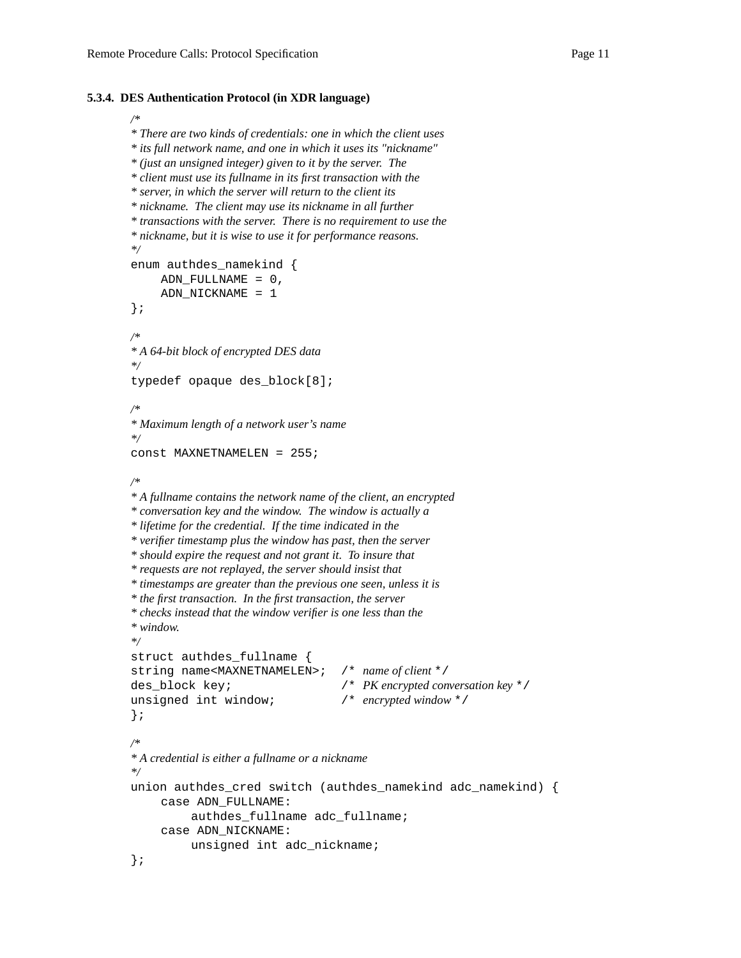## **5.3.4. DES Authentication Protocol (in XDR language)**

```
/*
* There are two kinds of credentials: one in which the client uses
* its full network name, and one in which it uses its "nickname"
* (just an unsigned integer) given to it by the server. The
* client must use its fullname in its first transaction with the
* server, in which the server will return to the client its
* nickname. The client may use its nickname in all further
* transactions with the server. There is no requirement to use the
* nickname, but it is wise to use it for performance reasons.
*/
enum authdes_namekind {
     ADN_FULLNAME = 0,
     ADN_NICKNAME = 1
};
/*
* A 64-bit block of encrypted DES data
*/
typedef opaque des_block[8];
/*
* Maximum length of a network user's name
*/
const MAXNETNAMELEN = 255;
/*
* A fullname contains the network name of the client, an encrypted
* conversation key and the window. The window is actually a
* lifetime for the credential. If the time indicated in the
* verifier timestamp plus the window has past, then the server
* should expire the request and not grant it. To insure that
* requests are not replayed, the server should insist that
* timestamps are greater than the previous one seen, unless it is
* the first transaction. In the first transaction, the server
* checks instead that the window verifier is one less than the
* window.
*/
struct authdes_fullname {
string name<MAXNETNAMELEN>; /* name of client */
des_block key; /* PK encrypted conversation key */
unsigned int window; /* encrypted window */
};
/*
* A credential is either a fullname or a nickname
*/
union authdes_cred switch (authdes_namekind adc_namekind) {
     case ADN_FULLNAME:
           authdes_fullname adc_fullname;
     case ADN_NICKNAME:
           unsigned int adc_nickname;
};
```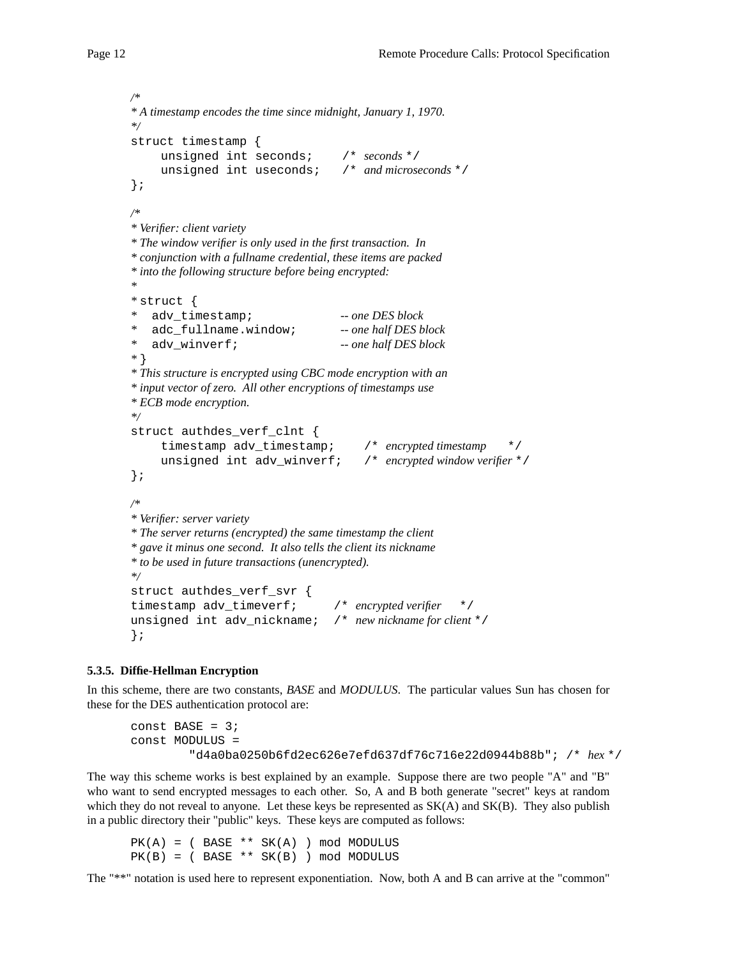```
/*
* A timestamp encodes the time since midnight, January 1, 1970.
*/
struct timestamp {
     unsigned int seconds; /* seconds */
     unsigned int useconds; /* and microseconds */
};
/*
* Verifier: client variety
* The window verifier is only used in the first transaction. In
* conjunction with a fullname credential, these items are packed
* into the following structure before being encrypted:
*
* struct {
* adv_timestamp; -- one DES block
* adc_fullname.window; -- one half DES block
* adv_winverf; -- one half DES block
* }
* This structure is encrypted using CBC mode encryption with an
* input vector of zero. All other encryptions of timestamps use
* ECB mode encryption.
*/
struct authdes_verf_clnt {
     timestamp adv_timestamp; /* encrypted timestamp */
     unsigned int adv_winverf; /* encrypted window verifier */
};
/*
* Verifier: server variety
* The server returns (encrypted) the same timestamp the client
* gave it minus one second. It also tells the client its nickname
* to be used in future transactions (unencrypted).
*/
struct authdes_verf_svr {
timestamp adv_timeverf; /* encrypted verifier */
unsigned int adv_nickname; /* new nickname for client */
};
```
#### **5.3.5. Diffie-Hellman Encryption**

In this scheme, there are two constants, *BASE* and *MODULUS*. The particular values Sun has chosen for these for the DES authentication protocol are:

```
const BASE = 3;
const MODULUS =
        "d4a0ba0250b6fd2ec626e7efd637df76c716e22d0944b88b"; /* hex */
```
The way this scheme works is best explained by an example. Suppose there are two people "A" and "B" who want to send encrypted messages to each other. So, A and B both generate "secret" keys at random which they do not reveal to anyone. Let these keys be represented as  $SK(A)$  and  $SK(B)$ . They also publish in a public directory their "public" keys. These keys are computed as follows:

 $PK(A) = (BASE ** SK(A))$  mod MODULUS PK(B) = ( BASE \*\* SK(B) ) mod MODULUS

The "\*\*" notation is used here to represent exponentiation. Now, both A and B can arrive at the "common"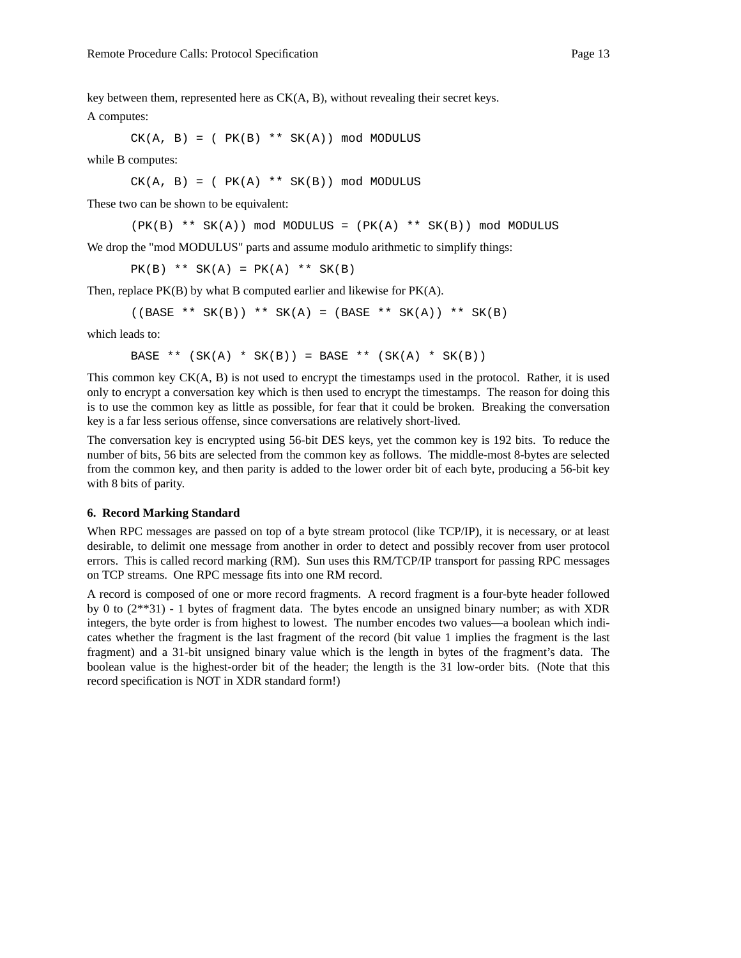key between them, represented here as CK(A, B), without revealing their secret keys.

A computes:

 $CK(A, B) = (PK(B) ** SK(A)) \text{ mod } MODULUS$ 

while B computes:

 $CK(A, B) = (PK(A) ** SK(B)) \text{ mod } MODULUS$ 

These two can be shown to be equivalent:

 $(PK(B)$  \*\*  $SK(A))$  mod MODULUS =  $(PK(A)$  \*\*  $SK(B))$  mod MODULUS

We drop the "mod MODULUS" parts and assume modulo arithmetic to simplify things:

 $PK(B)$  \*\*  $SK(A) = PK(A)$  \*\*  $SK(B)$ 

Then, replace  $PK(B)$  by what B computed earlier and likewise for  $PK(A)$ .

 $((BASE ** SK(B)) ** SK(A) = (BASE ** SK(A)) ** SK(B)$ 

which leads to:

BASE \*\*  $(SK(A) * SK(B)) = BASE * * (SK(A) * SK(B))$ 

This common key CK(A, B) is not used to encrypt the timestamps used in the protocol. Rather, it is used only to encrypt a conversation key which is then used to encrypt the timestamps. The reason for doing this is to use the common key as little as possible, for fear that it could be broken. Breaking the conversation key is a far less serious offense, since conversations are relatively short-lived.

The conversation key is encrypted using 56-bit DES keys, yet the common key is 192 bits. To reduce the number of bits, 56 bits are selected from the common key as follows. The middle-most 8-bytes are selected from the common key, and then parity is added to the lower order bit of each byte, producing a 56-bit key with 8 bits of parity.

#### **6. Record Marking Standard**

When RPC messages are passed on top of a byte stream protocol (like TCP/IP), it is necessary, or at least desirable, to delimit one message from another in order to detect and possibly recover from user protocol errors. This is called record marking (RM). Sun uses this RM/TCP/IP transport for passing RPC messages on TCP streams. One RPC message fits into one RM record.

A record is composed of one or more record fragments. A record fragment is a four-byte header followed by 0 to (2\*\*31) - 1 bytes of fragment data. The bytes encode an unsigned binary number; as with XDR integers, the byte order is from highest to lowest. The number encodes two values—a boolean which indicates whether the fragment is the last fragment of the record (bit value 1 implies the fragment is the last fragment) and a 31-bit unsigned binary value which is the length in bytes of the fragment's data. The boolean value is the highest-order bit of the header; the length is the 31 low-order bits. (Note that this record specification is NOT in XDR standard form!)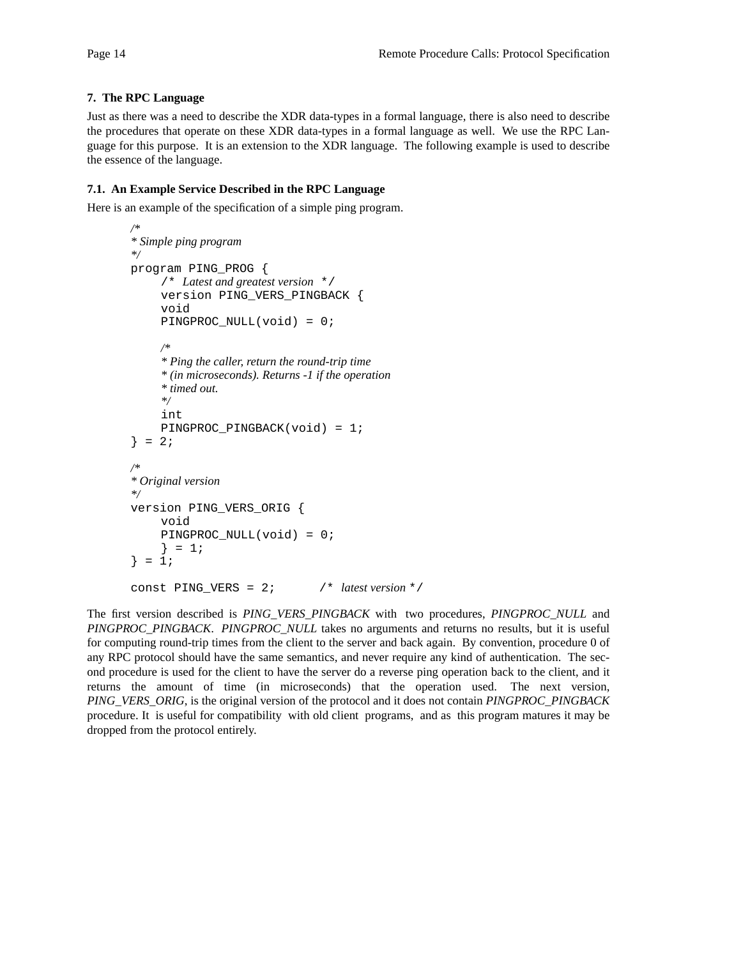# **7. The RPC Language**

Just as there was a need to describe the XDR data-types in a formal language, there is also need to describe the procedures that operate on these XDR data-types in a formal language as well. We use the RPC Language for this purpose. It is an extension to the XDR language. The following example is used to describe the essence of the language.

## **7.1. An Example Service Described in the RPC Language**

Here is an example of the specification of a simple ping program.

```
/*
* Simple ping program
*/
program PING_PROG {
     /* Latest and greatest version */
     version PING_VERS_PINGBACK {
     void
     PINGPROC_NULL(void) = 0;
     /*
     * Ping the caller, return the round-trip time
     * (in microseconds). Returns -1 if the operation
     * timed out.
     */
     int
     PINGPROC PINGBACK(void) = 1;
} = 2;/*
* Original version
*/
version PING_VERS_ORIG {
    void
     PINGPROC_NULL(void) = 0;
     } = 1;} = 1;const PING_VERS = 2; /* latest version */
```
The first version described is *PING\_VERS\_PINGBACK* with two procedures, *PINGPROC\_NULL* and *PINGPROC\_PINGBACK*. *PINGPROC\_NULL* takes no arguments and returns no results, but it is useful for computing round-trip times from the client to the server and back again. By convention, procedure 0 of any RPC protocol should have the same semantics, and never require any kind of authentication. The second procedure is used for the client to have the server do a reverse ping operation back to the client, and it returns the amount of time (in microseconds) that the operation used. The next version, *PING\_VERS\_ORIG*, is the original version of the protocol and it does not contain *PINGPROC\_PINGBACK* procedure. It is useful for compatibility with old client programs, and as this program matures it may be dropped from the protocol entirely.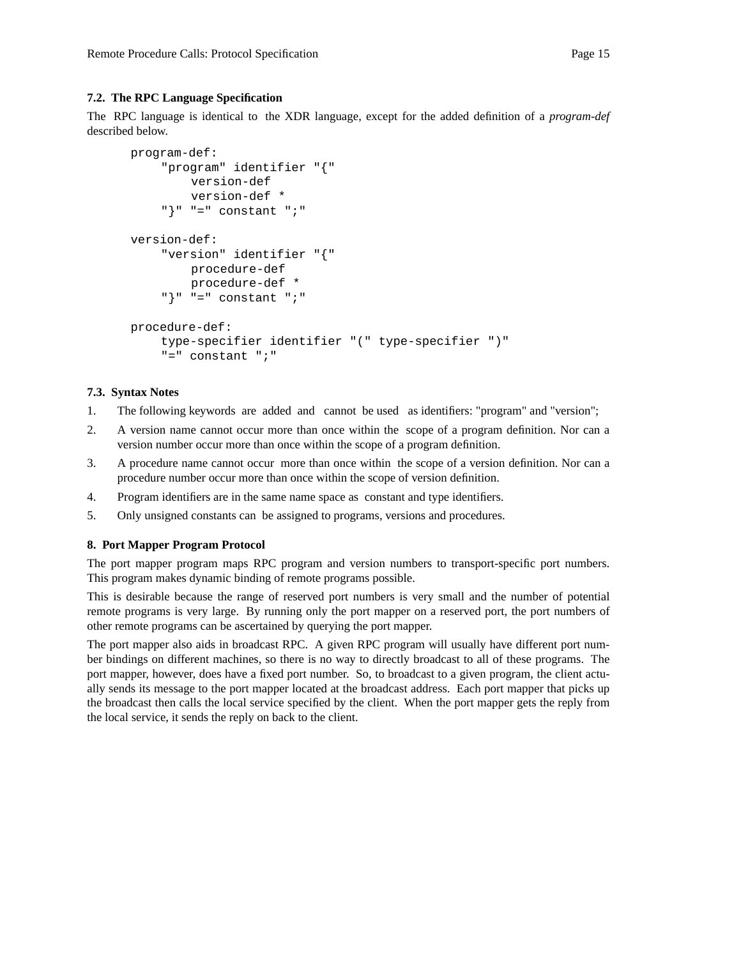The RPC language is identical to the XDR language, except for the added definition of a *program-def* described below.

```
program-def:
    "program" identifier "{"
       version-def
        version-def *
    "}" "=" constant ";"
version-def:
    "version" identifier "{"
       procedure-def
       procedure-def *
    "}" "=" constant ";"
procedure-def:
    type-specifier identifier "(" type-specifier ")"
    "=" constant ";"
```
# **7.3. Syntax Notes**

- 1. The following keywords are added and cannot be used as identifiers: "program" and "version";
- 2. A version name cannot occur more than once within the scope of a program definition. Nor can a version number occur more than once within the scope of a program definition.
- 3. A procedure name cannot occur more than once within the scope of a version definition. Nor can a procedure number occur more than once within the scope of version definition.
- 4. Program identifiers are in the same name space as constant and type identifiers.
- 5. Only unsigned constants can be assigned to programs, versions and procedures.

# **8. Port Mapper Program Protocol**

The port mapper program maps RPC program and version numbers to transport-specific port numbers. This program makes dynamic binding of remote programs possible.

This is desirable because the range of reserved port numbers is very small and the number of potential remote programs is very large. By running only the port mapper on a reserved port, the port numbers of other remote programs can be ascertained by querying the port mapper.

The port mapper also aids in broadcast RPC. A given RPC program will usually have different port number bindings on different machines, so there is no way to directly broadcast to all of these programs. The port mapper, however, does have a fixed port number. So, to broadcast to a given program, the client actually sends its message to the port mapper located at the broadcast address. Each port mapper that picks up the broadcast then calls the local service specified by the client. When the port mapper gets the reply from the local service, it sends the reply on back to the client.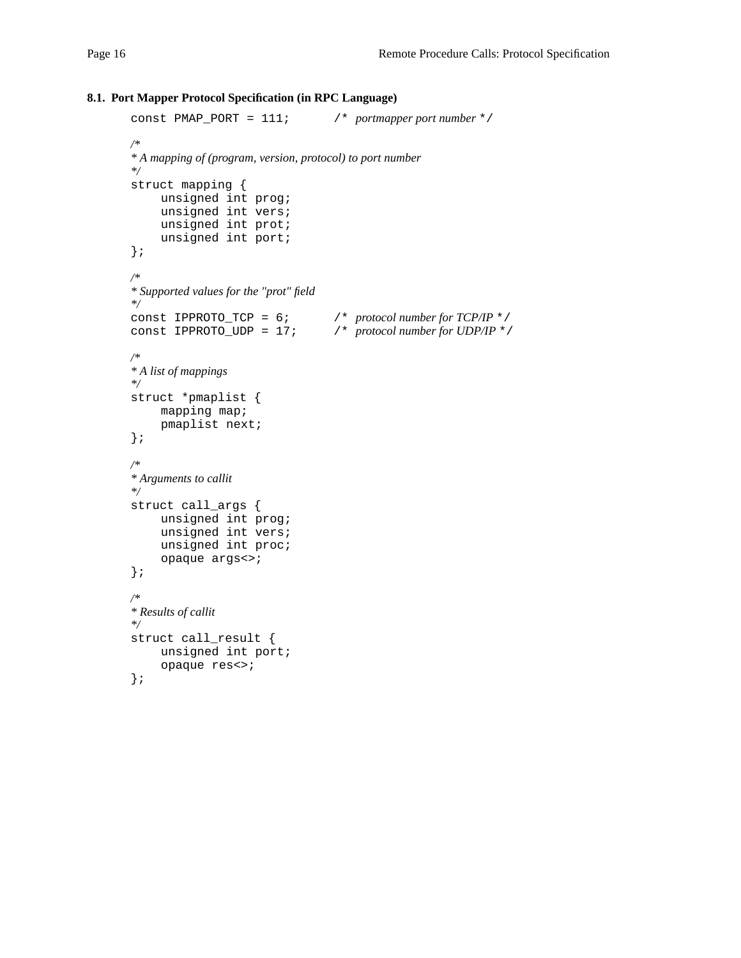# **8.1. Port Mapper Protocol Specification (in RPC Language)**

```
const PMAP_PORT = 111; /* portmapper port number */
/*
* A mapping of (program, version, protocol) to port number
*/
struct mapping {
    unsigned int prog;
    unsigned int vers;
    unsigned int prot;
    unsigned int port;
};
/*
* Supported values for the "prot" field
*/
const IPPROTO_TCP = 6; /* protocol number for TCP/IP */
const IPPROTO_UDP = 17; /* protocol number for UDP/IP */
/*
* A list of mappings
*/
struct *pmaplist {
    mapping map;
    pmaplist next;
};
/*
* Arguments to callit
*/
struct call_args {
    unsigned int prog;
    unsigned int vers;
    unsigned int proc;
     opaque args<>;
};
/*
* Results of callit
*/
struct call_result {
    unsigned int port;
    opaque res<>;
};
```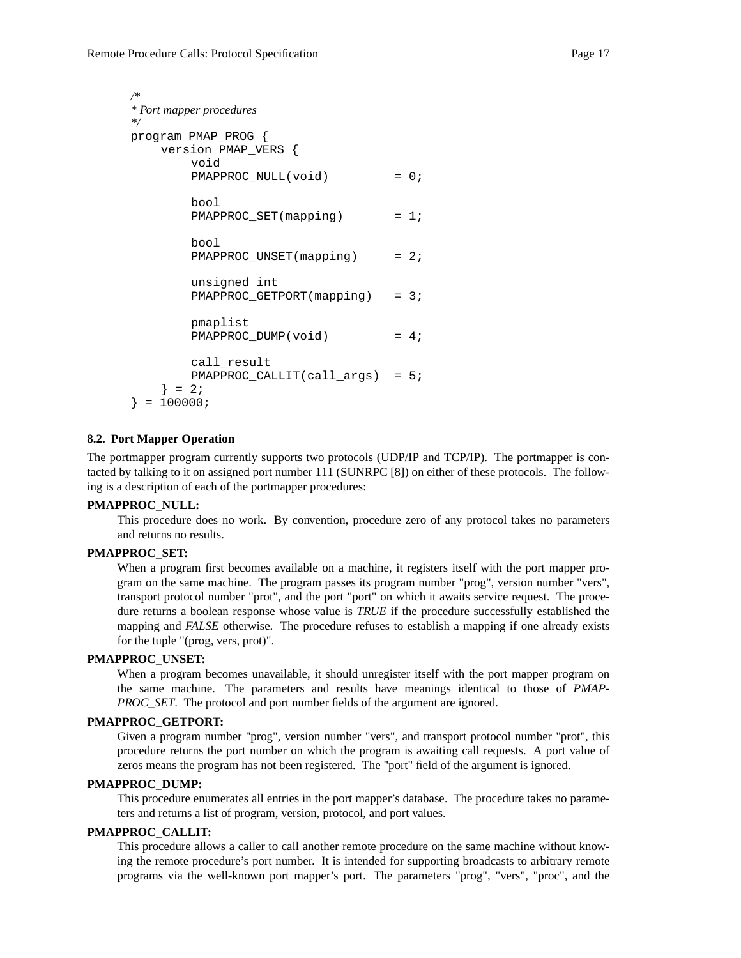```
/*
* Port mapper procedures
*/
program PMAP_PROG {
   version PMAP_VERS {
       void
        PMAPPROC_NULL(void) = 0;
       bool
        PMAPPROC_SET(mapping) = 1;
        bool
        PMAPPROC_UNSET(mapping) = 2;
        unsigned int
        PMAPPROC_GETPORT(mapping) = 3;
        pmaplist
        PMAPPROC_DUMP(void) = 4;
        call_result
        PMAPPROC_CALLIT(call_args) = 5;
    } = 2i} = 100000;
```
## **8.2. Port Mapper Operation**

The portmapper program currently supports two protocols (UDP/IP and TCP/IP). The portmapper is contacted by talking to it on assigned port number 111 (SUNRPC [8]) on either of these protocols. The following is a description of each of the portmapper procedures:

## **PMAPPROC\_NULL:**

This procedure does no work. By convention, procedure zero of any protocol takes no parameters and returns no results.

# **PMAPPROC\_SET:**

When a program first becomes available on a machine, it registers itself with the port mapper program on the same machine. The program passes its program number "prog", version number "vers", transport protocol number "prot", and the port "port" on which it awaits service request. The procedure returns a boolean response whose value is *TRUE* if the procedure successfully established the mapping and *FALSE* otherwise. The procedure refuses to establish a mapping if one already exists for the tuple "(prog, vers, prot)".

# **PMAPPROC\_UNSET:**

When a program becomes unavailable, it should unregister itself with the port mapper program on the same machine. The parameters and results have meanings identical to those of *PMAP-PROC\_SET*. The protocol and port number fields of the argument are ignored.

## **PMAPPROC\_GETPORT:**

Given a program number "prog", version number "vers", and transport protocol number "prot", this procedure returns the port number on which the program is awaiting call requests. A port value of zeros means the program has not been registered. The "port" field of the argument is ignored.

## **PMAPPROC\_DUMP:**

This procedure enumerates all entries in the port mapper's database. The procedure takes no parameters and returns a list of program, version, protocol, and port values.

#### **PMAPPROC\_CALLIT:**

This procedure allows a caller to call another remote procedure on the same machine without knowing the remote procedure's port number. It is intended for supporting broadcasts to arbitrary remote programs via the well-known port mapper's port. The parameters "prog", "vers", "proc", and the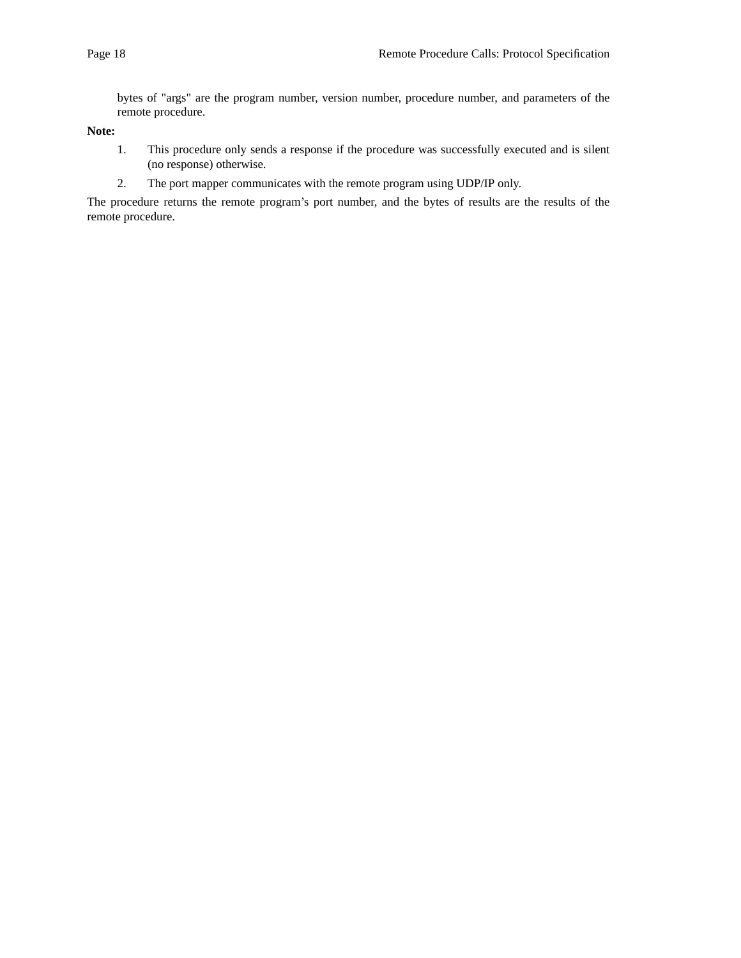bytes of "args" are the program number, version number, procedure number, and parameters of the remote procedure.

**Note:**

- 1. This procedure only sends a response if the procedure was successfully executed and is silent (no response) otherwise.
- 2. The port mapper communicates with the remote program using UDP/IP only.

The procedure returns the remote program's port number, and the bytes of results are the results of the remote procedure.